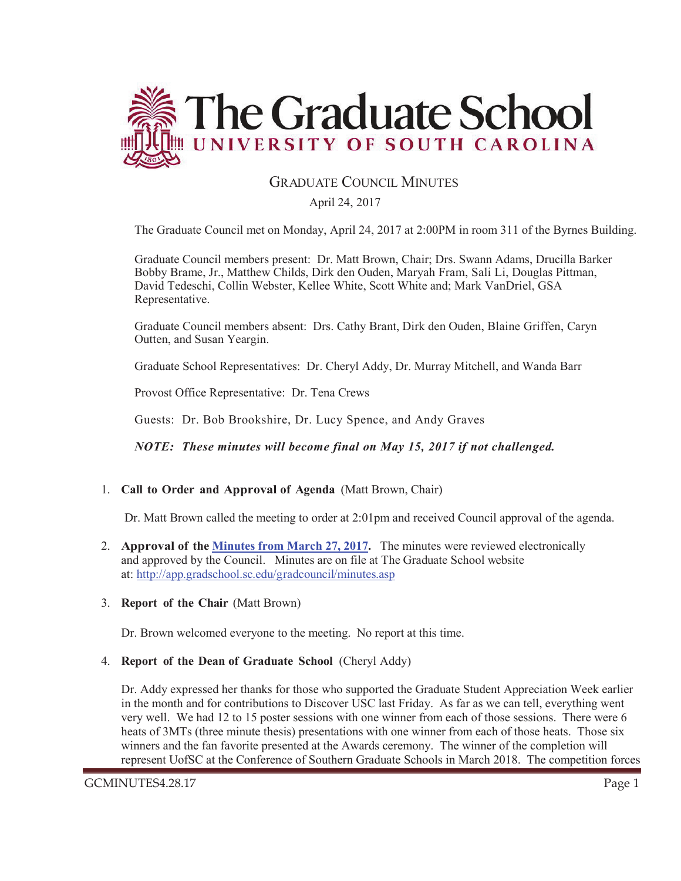

#### **GRADUATE COUNCIL MINUTES**

April 24, 2017

The Graduate Council met on Monday, April 24, 2017 at 2:00PM in room 311 of the Byrnes Building.

Graduate Council members present: Dr. Matt Brown, Chair; Drs. Swann Adams, Drucilla Barker Bobby Brame, Jr., Matthew Childs, Dirk den Ouden, Maryah Fram, Sali Li, Douglas Pittman, David Tedeschi, Collin Webster, Kellee White, Scott White and; Mark VanDriel, GSA Representative.

Graduate Council members absent: Drs. Cathy Brant, Dirk den Ouden, Blaine Griffen, Caryn Outten, and Susan Yeargin.

Graduate School Representatives: Dr. Cheryl Addy, Dr. Murray Mitchell, and Wanda Barr

Provost Office Representative: Dr. Tena Crews

Guests: Dr. Bob Brookshire, Dr. Lucy Spence, and Andy Graves

*NOTE: These minutes will become final on May 15, 2017 if not challenged.* 

1. **Call to Order and Approval of Agenda** (Matt Brown, Chair)

Dr. Matt Brown called the meeting to order at 2:01pm and received Council approval of the agenda.

- 2. **Approval of the Minutes from March 27, 2017.** The minutes were reviewed electronically and approved by the Council. Minutes are on file at The Graduate School website at: http://app.gradschool.sc.edu/gradcouncil/minutes.asp
- 3. **Report of the Chair** (Matt Brown)

Dr. Brown welcomed everyone to the meeting. No report at this time.

4. **Report of the Dean of Graduate School** (Cheryl Addy)

Dr. Addy expressed her thanks for those who supported the Graduate Student Appreciation Week earlier in the month and for contributions to Discover USC last Friday. As far as we can tell, everything went very well. We had 12 to 15 poster sessions with one winner from each of those sessions. There were 6 heats of 3MTs (three minute thesis) presentations with one winner from each of those heats. Those six winners and the fan favorite presented at the Awards ceremony. The winner of the completion will represent UofSC at the Conference of Southern Graduate Schools in March 2018. The competition forces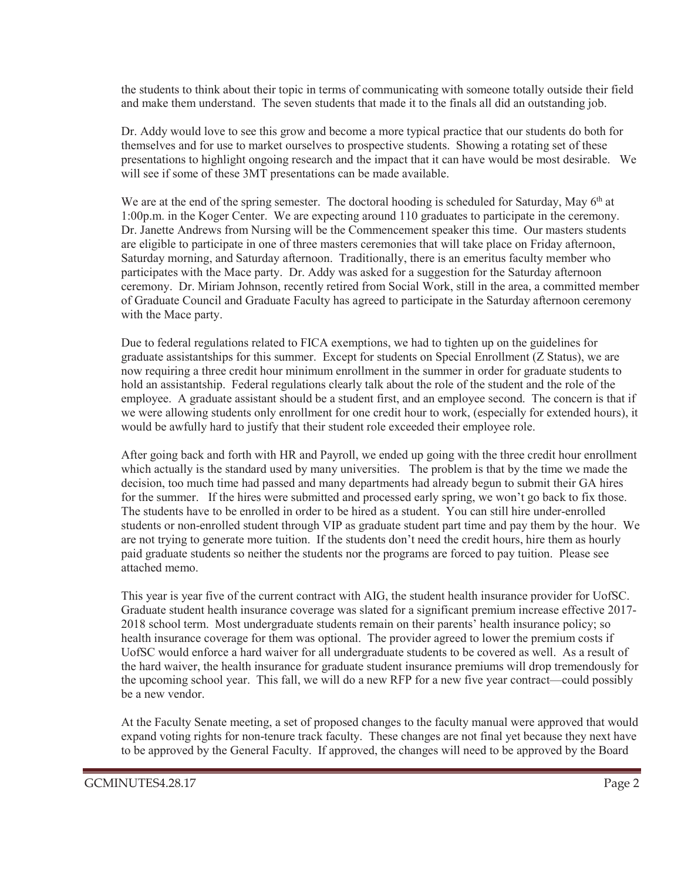the students to think about their topic in terms of communicating with someone totally outside their field and make them understand. The seven students that made it to the finals all did an outstanding job.

Dr. Addy would love to see this grow and become a more typical practice that our students do both for themselves and for use to market ourselves to prospective students. Showing a rotating set of these presentations to highlight ongoing research and the impact that it can have would be most desirable. We will see if some of these 3MT presentations can be made available.

We are at the end of the spring semester. The doctoral hooding is scheduled for Saturday, May 6<sup>th</sup> at 1:00p.m. in the Koger Center. We are expecting around 110 graduates to participate in the ceremony. Dr. Janette Andrews from Nursing will be the Commencement speaker this time. Our masters students are eligible to participate in one of three masters ceremonies that will take place on Friday afternoon, Saturday morning, and Saturday afternoon. Traditionally, there is an emeritus faculty member who participates with the Mace party. Dr. Addy was asked for a suggestion for the Saturday afternoon ceremony. Dr. Miriam Johnson, recently retired from Social Work, still in the area, a committed member of Graduate Council and Graduate Faculty has agreed to participate in the Saturday afternoon ceremony with the Mace party.

Due to federal regulations related to FICA exemptions, we had to tighten up on the guidelines for graduate assistantships for this summer. Except for students on Special Enrollment (Z Status), we are now requiring a three credit hour minimum enrollment in the summer in order for graduate students to hold an assistantship. Federal regulations clearly talk about the role of the student and the role of the employee. A graduate assistant should be a student first, and an employee second. The concern is that if we were allowing students only enrollment for one credit hour to work, (especially for extended hours), it would be awfully hard to justify that their student role exceeded their employee role.

After going back and forth with HR and Payroll, we ended up going with the three credit hour enrollment which actually is the standard used by many universities. The problem is that by the time we made the decision, too much time had passed and many departments had already begun to submit their GA hires for the summer. If the hires were submitted and processed early spring, we won't go back to fix those. The students have to be enrolled in order to be hired as a student. You can still hire under-enrolled students or non-enrolled student through VIP as graduate student part time and pay them by the hour. We are not trying to generate more tuition. If the students don't need the credit hours, hire them as hourly paid graduate students so neither the students nor the programs are forced to pay tuition. Please see attached memo.

This year is year five of the current contract with AIG, the student health insurance provider for UofSC. Graduate student health insurance coverage was slated for a significant premium increase effective 2017- 2018 school term. Most undergraduate students remain on their parents' health insurance policy; so health insurance coverage for them was optional. The provider agreed to lower the premium costs if UofSC would enforce a hard waiver for all undergraduate students to be covered as well. As a result of the hard waiver, the health insurance for graduate student insurance premiums will drop tremendously for the upcoming school year. This fall, we will do a new RFP for a new five year contract—could possibly be a new vendor.

At the Faculty Senate meeting, a set of proposed changes to the faculty manual were approved that would expand voting rights for non-tenure track faculty. These changes are not final yet because they next have to be approved by the General Faculty. If approved, the changes will need to be approved by the Board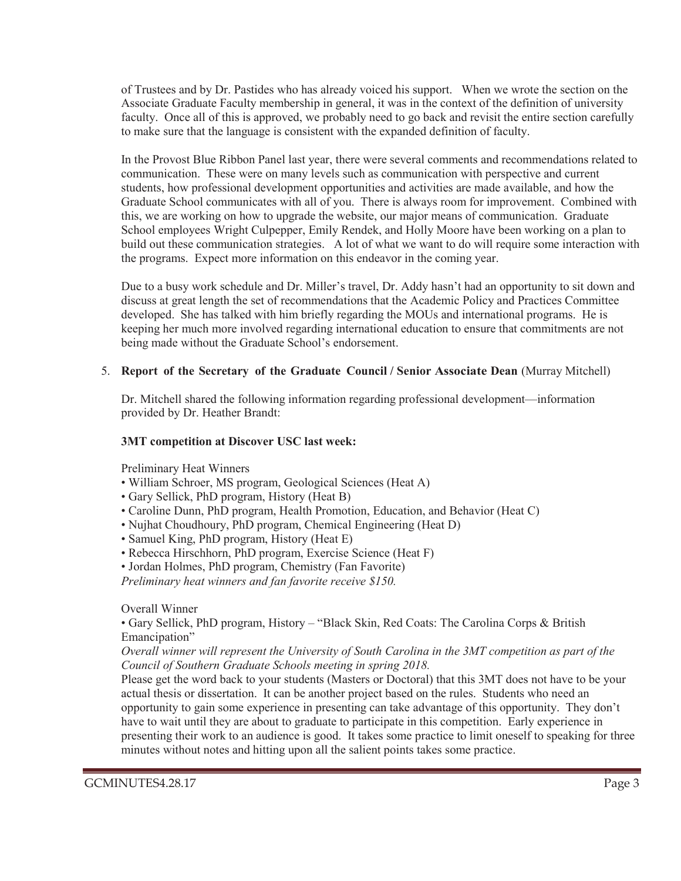of Trustees and by Dr. Pastides who has already voiced his support. When we wrote the section on the Associate Graduate Faculty membership in general, it was in the context of the definition of university faculty. Once all of this is approved, we probably need to go back and revisit the entire section carefully to make sure that the language is consistent with the expanded definition of faculty.

In the Provost Blue Ribbon Panel last year, there were several comments and recommendations related to communication. These were on many levels such as communication with perspective and current students, how professional development opportunities and activities are made available, and how the Graduate School communicates with all of you. There is always room for improvement. Combined with this, we are working on how to upgrade the website, our major means of communication. Graduate School employees Wright Culpepper, Emily Rendek, and Holly Moore have been working on a plan to build out these communication strategies. A lot of what we want to do will require some interaction with the programs. Expect more information on this endeavor in the coming year.

Due to a busy work schedule and Dr. Miller's travel, Dr. Addy hasn't had an opportunity to sit down and discuss at great length the set of recommendations that the Academic Policy and Practices Committee developed. She has talked with him briefly regarding the MOUs and international programs. He is keeping her much more involved regarding international education to ensure that commitments are not being made without the Graduate School's endorsement.

#### 5. **Report of the Secretary of the Graduate Council / Senior Associate Dean** (Murray Mitchell)

Dr. Mitchell shared the following information regarding professional development—information provided by Dr. Heather Brandt:

#### **3MT competition at Discover USC last week:**

Preliminary Heat Winners

- William Schroer, MS program, Geological Sciences (Heat A)
- Gary Sellick, PhD program, History (Heat B)
- Caroline Dunn, PhD program, Health Promotion, Education, and Behavior (Heat C)
- Nujhat Choudhoury, PhD program, Chemical Engineering (Heat D)
- Samuel King, PhD program, History (Heat E)
- Rebecca Hirschhorn, PhD program, Exercise Science (Heat F)
- Jordan Holmes, PhD program, Chemistry (Fan Favorite)

*Preliminary heat winners and fan favorite receive \$150.*

Overall Winner

• Gary Sellick, PhD program, History – "Black Skin, Red Coats: The Carolina Corps & British Emancipation"

#### *Overall winner will represent the University of South Carolina in the 3MT competition as part of the Council of Southern Graduate Schools meeting in spring 2018.*

Please get the word back to your students (Masters or Doctoral) that this 3MT does not have to be your actual thesis or dissertation. It can be another project based on the rules. Students who need an opportunity to gain some experience in presenting can take advantage of this opportunity. They don't have to wait until they are about to graduate to participate in this competition. Early experience in presenting their work to an audience is good. It takes some practice to limit oneself to speaking for three minutes without notes and hitting upon all the salient points takes some practice.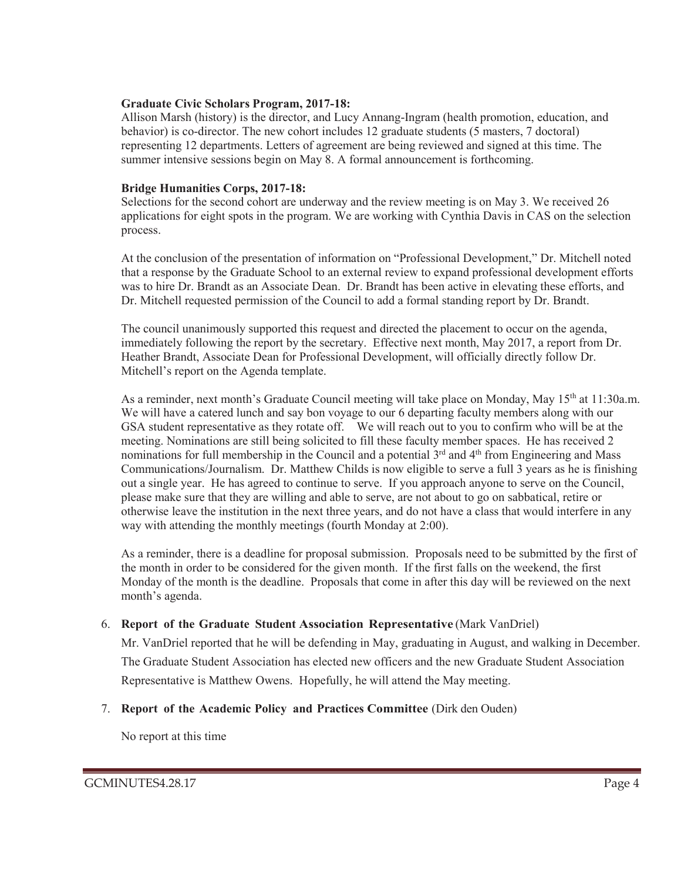#### **Graduate Civic Scholars Program, 2017-18:**

Allison Marsh (history) is the director, and Lucy Annang-Ingram (health promotion, education, and behavior) is co-director. The new cohort includes 12 graduate students (5 masters, 7 doctoral) representing 12 departments. Letters of agreement are being reviewed and signed at this time. The summer intensive sessions begin on May 8. A formal announcement is forthcoming.

#### **Bridge Humanities Corps, 2017-18:**

Selections for the second cohort are underway and the review meeting is on May 3. We received 26 applications for eight spots in the program. We are working with Cynthia Davis in CAS on the selection process.

At the conclusion of the presentation of information on "Professional Development," Dr. Mitchell noted that a response by the Graduate School to an external review to expand professional development efforts was to hire Dr. Brandt as an Associate Dean. Dr. Brandt has been active in elevating these efforts, and Dr. Mitchell requested permission of the Council to add a formal standing report by Dr. Brandt.

The council unanimously supported this request and directed the placement to occur on the agenda, immediately following the report by the secretary. Effective next month, May 2017, a report from Dr. Heather Brandt, Associate Dean for Professional Development, will officially directly follow Dr. Mitchell's report on the Agenda template.

As a reminder, next month's Graduate Council meeting will take place on Monday, May 15<sup>th</sup> at 11:30a.m. We will have a catered lunch and say bon voyage to our 6 departing faculty members along with our GSA student representative as they rotate off. We will reach out to you to confirm who will be at the meeting. Nominations are still being solicited to fill these faculty member spaces. He has received 2 nominations for full membership in the Council and a potential 3<sup>rd</sup> and 4<sup>th</sup> from Engineering and Mass Communications/Journalism. Dr. Matthew Childs is now eligible to serve a full 3 years as he is finishing out a single year. He has agreed to continue to serve. If you approach anyone to serve on the Council, please make sure that they are willing and able to serve, are not about to go on sabbatical, retire or otherwise leave the institution in the next three years, and do not have a class that would interfere in any way with attending the monthly meetings (fourth Monday at 2:00).

As a reminder, there is a deadline for proposal submission. Proposals need to be submitted by the first of the month in order to be considered for the given month. If the first falls on the weekend, the first Monday of the month is the deadline. Proposals that come in after this day will be reviewed on the next month's agenda.

#### **Report of the Graduate Student Association Representative** (Mark VanDriel)

Mr. VanDriel reported that he will be defending in May, graduating in August, and walking in December. The Graduate Student Association has elected new officers and the new Graduate Student Association Representative is Matthew Owens. Hopefully, he will attend the May meeting.

#### **Report of the Academic Policy and Practices Committee** (Dirk den Ouden)

No report at this time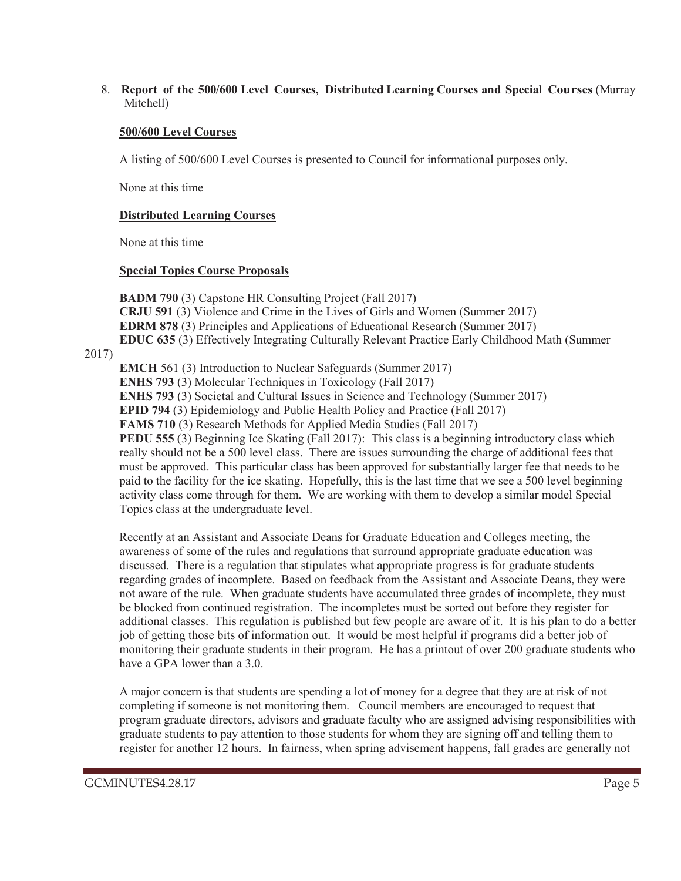8. **Report of the 500/600 Level Courses, Distributed Learning Courses and Special Courses** (Murray Mitchell)

#### **500/600 Level Courses**

A listing of 500/600 Level Courses is presented to Council for informational purposes only.

None at this time

#### **Distributed Learning Courses**

None at this time

#### **Special Topics Course Proposals**

**BADM 790** (3) Capstone HR Consulting Project (Fall 2017) **CRJU 591** (3) Violence and Crime in the Lives of Girls and Women (Summer 2017) **EDRM 878** (3) Principles and Applications of Educational Research (Summer 2017) **EDUC 635** (3) Effectively Integrating Culturally Relevant Practice Early Childhood Math (Summer

#### 2017)

**EMCH** 561 (3) Introduction to Nuclear Safeguards (Summer 2017) **ENHS 793** (3) Molecular Techniques in Toxicology (Fall 2017) **ENHS 793** (3) Societal and Cultural Issues in Science and Technology (Summer 2017) **EPID 794** (3) Epidemiology and Public Health Policy and Practice (Fall 2017) **FAMS 710** (3) Research Methods for Applied Media Studies (Fall 2017) **PEDU 555** (3) Beginning Ice Skating (Fall 2017): This class is a beginning introductory class which really should not be a 500 level class. There are issues surrounding the charge of additional fees that must be approved. This particular class has been approved for substantially larger fee that needs to be paid to the facility for the ice skating. Hopefully, this is the last time that we see a 500 level beginning activity class come through for them. We are working with them to develop a similar model Special Topics class at the undergraduate level.

Recently at an Assistant and Associate Deans for Graduate Education and Colleges meeting, the awareness of some of the rules and regulations that surround appropriate graduate education was discussed. There is a regulation that stipulates what appropriate progress is for graduate students regarding grades of incomplete. Based on feedback from the Assistant and Associate Deans, they were not aware of the rule. When graduate students have accumulated three grades of incomplete, they must be blocked from continued registration. The incompletes must be sorted out before they register for additional classes. This regulation is published but few people are aware of it. It is his plan to do a better job of getting those bits of information out. It would be most helpful if programs did a better job of monitoring their graduate students in their program. He has a printout of over 200 graduate students who have a GPA lower than a 3.0.

A major concern is that students are spending a lot of money for a degree that they are at risk of not completing if someone is not monitoring them. Council members are encouraged to request that program graduate directors, advisors and graduate faculty who are assigned advising responsibilities with graduate students to pay attention to those students for whom they are signing off and telling them to register for another 12 hours. In fairness, when spring advisement happens, fall grades are generally not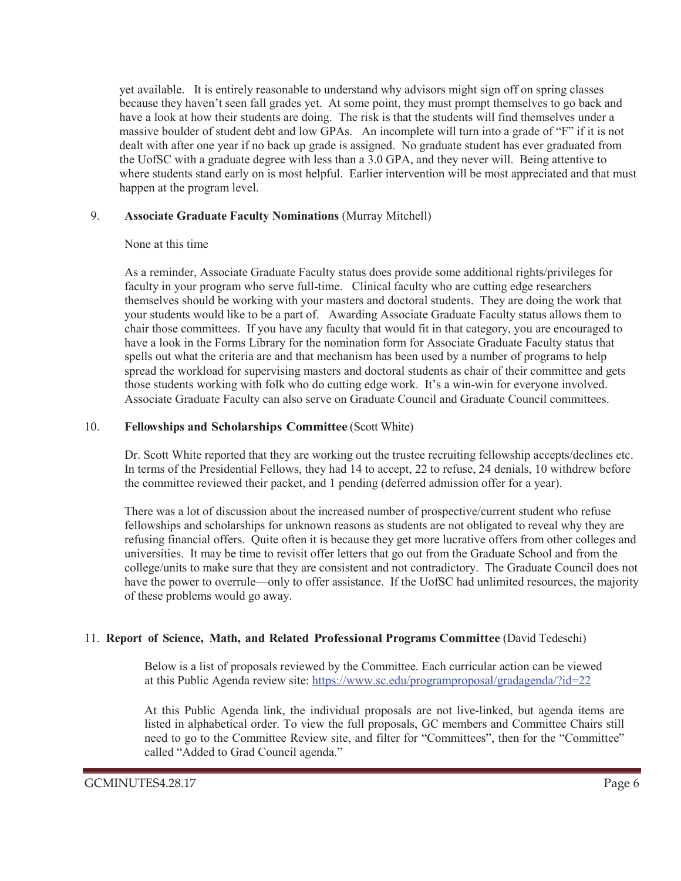yet available. It is entirely reasonable to understand why advisors might sign off on spring classes because they haven't seen fall grades yet. At some point, they must prompt themselves to go back and have a look at how their students are doing. The risk is that the students will find themselves under a massive boulder of student debt and low GPAs. An incomplete will turn into a grade of "F" if it is not dealt with after one year if no back up grade is assigned. No graduate student has ever graduated from the UofSC with a graduate degree with less than a 3.0 GPA, and they never will. Being attentive to where students stand early on is most helpful. Earlier intervention will be most appreciated and that must happen at the program level.

#### 9. **Associate Graduate Faculty Nominations** (Murray Mitchell)

#### None at this time

As a reminder, Associate Graduate Faculty status does provide some additional rights/privileges for faculty in your program who serve full-time. Clinical faculty who are cutting edge researchers themselves should be working with your masters and doctoral students. They are doing the work that your students would like to be a part of. Awarding Associate Graduate Faculty status allows them to chair those committees. If you have any faculty that would fit in that category, you are encouraged to have a look in the Forms Library for the nomination form for Associate Graduate Faculty status that spells out what the criteria are and that mechanism has been used by a number of programs to help spread the workload for supervising masters and doctoral students as chair of their committee and gets those students working with folk who do cutting edge work. It's a win-win for everyone involved. Associate Graduate Faculty can also serve on Graduate Council and Graduate Council committees.

#### 10. **Fellowships and Scholarships Committee** (Scott White)

Dr. Scott White reported that they are working out the trustee recruiting fellowship accepts/declines etc. In terms of the Presidential Fellows, they had 14 to accept, 22 to refuse, 24 denials, 10 withdrew before the committee reviewed their packet, and 1 pending (deferred admission offer for a year).

There was a lot of discussion about the increased number of prospective/current student who refuse fellowships and scholarships for unknown reasons as students are not obligated to reveal why they are refusing financial offers. Quite often it is because they get more lucrative offers from other colleges and universities. It may be time to revisit offer letters that go out from the Graduate School and from the college/units to make sure that they are consistent and not contradictory. The Graduate Council does not have the power to overrule—only to offer assistance. If the UofSC had unlimited resources, the majority of these problems would go away.

#### 11. **Report of Science, Math, and Related Professional Programs Committee** (David Tedeschi)

Below is a list of proposals reviewed by the Committee. Each curricular action can be viewed at this Public Agenda review site: https://www.sc.edu/programproposal/gradagenda/?id=22

At this Public Agenda link, the individual proposals are not live-linked, but agenda items are listed in alphabetical order. To view the full proposals, GC members and Committee Chairs still need to go to the Committee Review site, and filter for "Committees", then for the "Committee" called "Added to Grad Council agenda."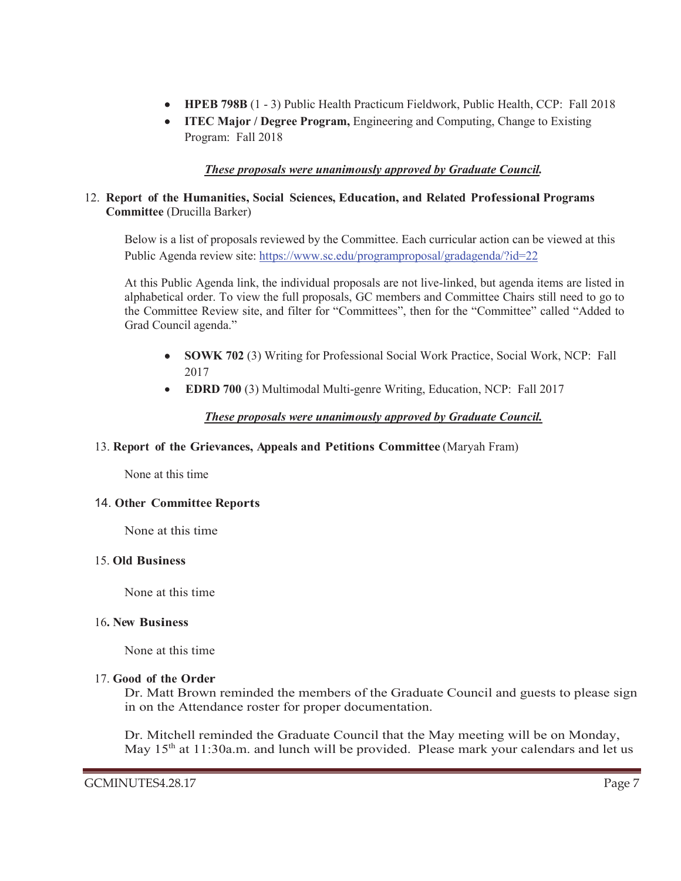- **HPEB 798B** (1 3) Public Health Practicum Fieldwork, Public Health, CCP: Fall 2018
- **ITEC Major / Degree Program,** Engineering and Computing, Change to Existing Program: Fall 2018

#### *These proposals were unanimously approved by Graduate Council.*

#### 12. **Report of the Humanities, Social Sciences, Education, and Related Professional Programs Committee** (Drucilla Barker)

Below is a list of proposals reviewed by the Committee. Each curricular action can be viewed at this Public Agenda review site: https://www.sc.edu/programproposal/gradagenda/?id=22

At this Public Agenda link, the individual proposals are not live-linked, but agenda items are listed in alphabetical order. To view the full proposals, GC members and Committee Chairs still need to go to the Committee Review site, and filter for "Committees", then for the "Committee" called "Added to Grad Council agenda."

- x **SOWK 702** (3) Writing for Professional Social Work Practice, Social Work, NCP: Fall 2017
- **EDRD 700** (3) Multimodal Multi-genre Writing, Education, NCP: Fall 2017

#### *These proposals were unanimously approved by Graduate Council.*

#### 13. **Report of the Grievances, Appeals and Petitions Committee** (Maryah Fram)

None at this time

#### 14. **Other Committee Reports**

None at this time

#### 15. **Old Business**

None at this time

#### 16**. New Business**

None at this time

#### 17. **Good of the Order**

Dr. Matt Brown reminded the members of the Graduate Council and guests to please sign in on the Attendance roster for proper documentation.

Dr. Mitchell reminded the Graduate Council that the May meeting will be on Monday, May 15<sup>th</sup> at 11:30a.m. and lunch will be provided. Please mark your calendars and let us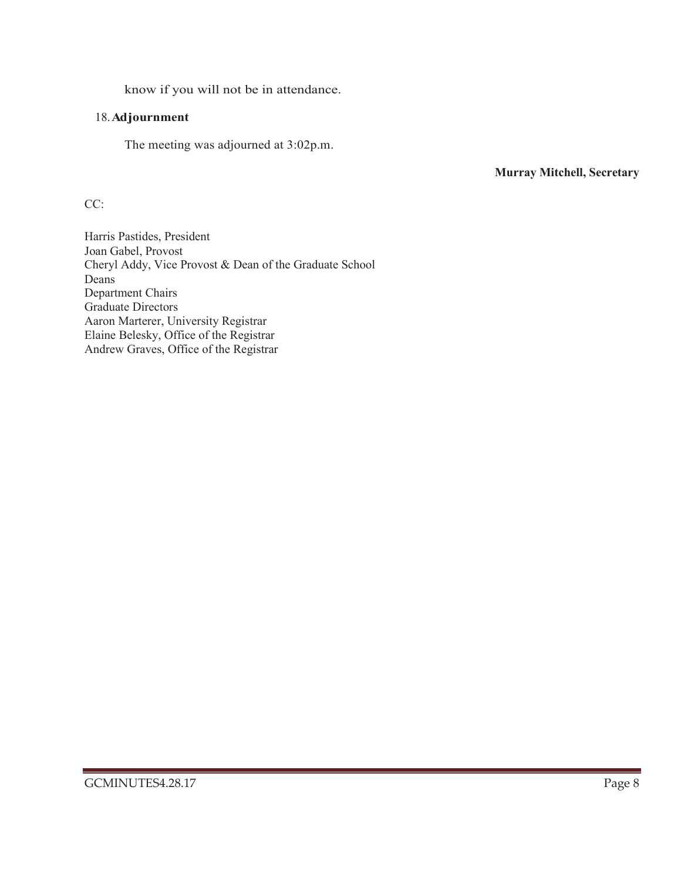know if you will not be in attendance.

#### 18.**Adjournment**

The meeting was adjourned at 3:02p.m.

**Murray Mitchell, Secretary**

CC:

Harris Pastides, President Joan Gabel, Provost Cheryl Addy, Vice Provost & Dean of the Graduate School Deans Department Chairs Graduate Directors Aaron Marterer, University Registrar Elaine Belesky, Office of the Registrar Andrew Graves, Office of the Registrar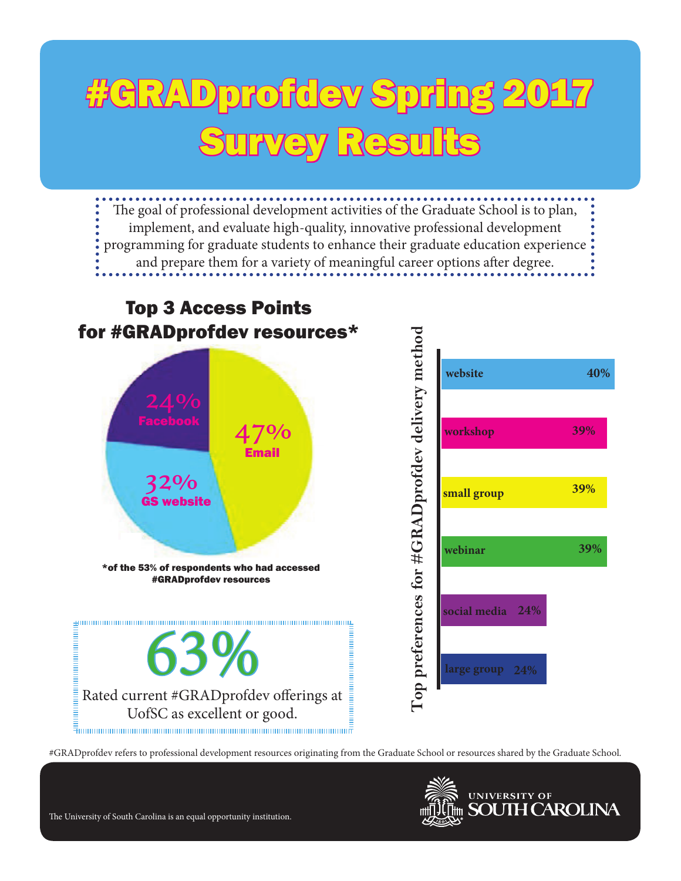## #GRADprofdev Spring 2017 Survey Results

The goal of professional development activities of the Graduate School is to plan, implement, and evaluate high-quality, innovative professional development programming for graduate students to enhance their graduate education experience and prepare them for a variety of meaningful career options after degree.



#GRADprofdev refers to professional development resources originating from the Graduate School or resources shared by the Graduate School.



The University of South Carolina is an equal opportunity institution.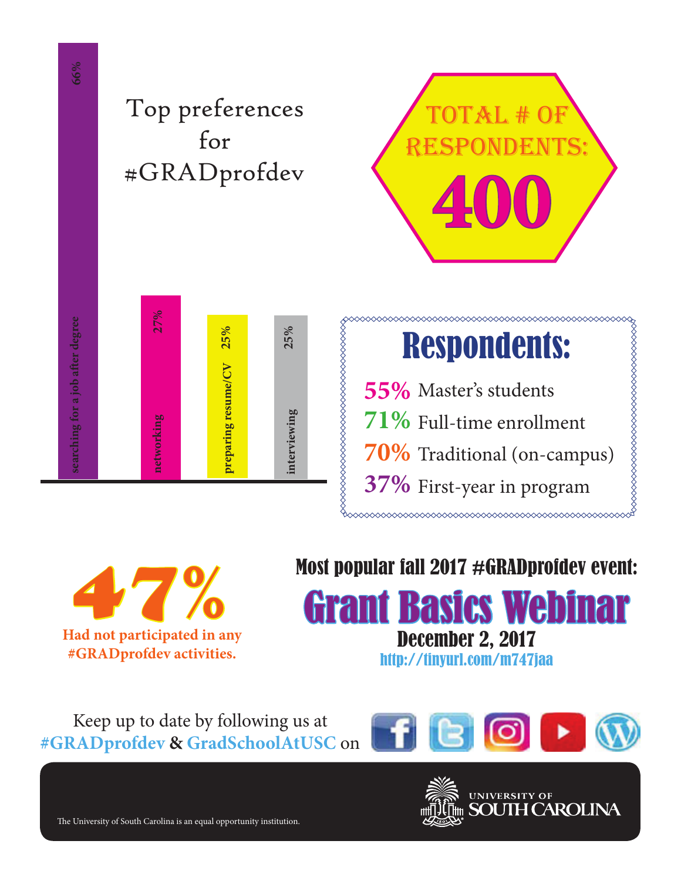Top preferences for #GRADprofdev



## Respondents:

55% Master's students Full-time enrollment **71%** Traditional (on-campus) **70%** 37% First-year in program

,,,,,,,,,,,,,,,,,,,,,,,,,,,,,,,,,,,,,

**Had not participated in any**  47% **#GRADprofdev activities.** e University of South Carolina is an equal opportunity institution. **27% 25% 25% networking preparing resume/CV interviewing 66% searching for a job a"er degree**

### Most popular fall 2017 #GRADprofdev event:



Keep up to date by following us at **#GRADprofdev & GradSchoolAtUSC** on





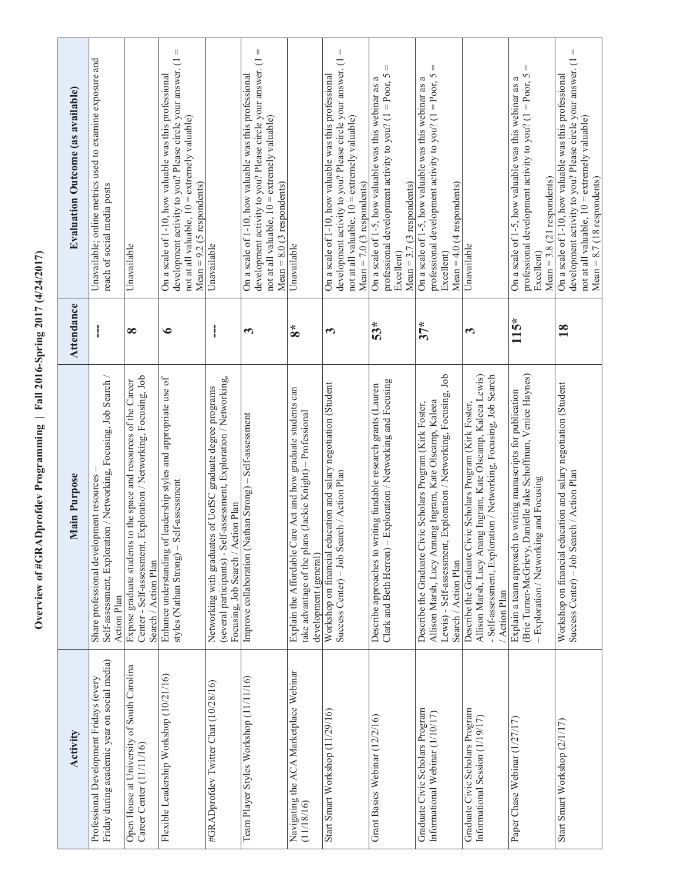Overview of #GRADprofdev Programming | Fall 2016-Spring 2017 (4/24/2017) **Overview of #GRADprofdev Programming | Fall 2016-Spring 2017 (4/24/2017)**

| <b>Evaluation Outcome (as available)</b> | Unavailable; online metrics used to examine exposure and<br>reach of social media posts                                           | Unavailable                                                                                                                                                          | $\parallel$<br>development activity to you? Please circle your answer. (1<br>On a scale of 1-10, how valuable was this professional<br>not at all valuable, $10 =$ extremely valuable)<br>$Mean = 9.2$ (5 respondents) | Unavailable                                                                                                                                                              | Ш<br>development activity to you? Please circle your answer. (1<br>On a scale of 1-10, how valuable was this professional<br>not at all valuable, $10 =$ extremely valuable)<br>$Mean = 8.0$ (3 respondents) | Unavailable                                                                                                                                          | Ш<br>development activity to you? Please circle your answer. (1<br>On a scale of 1-10, how valuable was this professional<br>not at all valuable, 10 = extremely valuable)<br>$Mean = 7.0$ (3 respondents) | Ш<br>professional development activity to you? $(1 =$ Poor, 5<br>On a scale of 1-5, how valuable was this webinar as a<br>Mean = $3.7$ (3 respondents)<br>Excellent) | Ш<br>professional development activity to you? $(1 =$ Poor, 5<br>On a scale of 1-5, how valuable was this webinar as a<br>Mean = $4.0$ (4 respondents)<br>Excellent)                                               | Unavailable                                                                                                                                                                                                     | Ш<br>professional development activity to you? $(1 =$ Poor, 5<br>On a scale of 1-5, how valuable was this webinar as a<br>Mean = $3.8$ (21 respondents)<br>Excellent)       | Ш<br>development activity to you? Please circle your answer. (1<br>On a scale of 1-10, how valuable was this professional<br>not at all valuable, 10 = extremely valuable)<br>$Mean = 8.7 (18$ respondents) |
|------------------------------------------|-----------------------------------------------------------------------------------------------------------------------------------|----------------------------------------------------------------------------------------------------------------------------------------------------------------------|------------------------------------------------------------------------------------------------------------------------------------------------------------------------------------------------------------------------|--------------------------------------------------------------------------------------------------------------------------------------------------------------------------|--------------------------------------------------------------------------------------------------------------------------------------------------------------------------------------------------------------|------------------------------------------------------------------------------------------------------------------------------------------------------|------------------------------------------------------------------------------------------------------------------------------------------------------------------------------------------------------------|----------------------------------------------------------------------------------------------------------------------------------------------------------------------|--------------------------------------------------------------------------------------------------------------------------------------------------------------------------------------------------------------------|-----------------------------------------------------------------------------------------------------------------------------------------------------------------------------------------------------------------|-----------------------------------------------------------------------------------------------------------------------------------------------------------------------------|-------------------------------------------------------------------------------------------------------------------------------------------------------------------------------------------------------------|
| Attendance                               | I                                                                                                                                 | $\infty$                                                                                                                                                             | $\bullet$                                                                                                                                                                                                              | I                                                                                                                                                                        | 3                                                                                                                                                                                                            | $\boldsymbol{8}^*$                                                                                                                                   | $\mathbf{\tilde{5}}$                                                                                                                                                                                       | 53*                                                                                                                                                                  | $37*$                                                                                                                                                                                                              | 3                                                                                                                                                                                                               | 115*                                                                                                                                                                        | $\overline{18}$                                                                                                                                                                                             |
| Main Purpose                             | ion / Networking, Focusing, Job Search /<br>Share professional development resources<br>Self-assessment, Explorati<br>Action Plan | Exploration / Networking, Focusing, Job<br>to the space and resources of the Career<br>Center - Self-assessment,<br>Expose graduate students<br>Search / Action Plan | Enhance understanding of leadership styles and appropriate use of<br>styles (Nathan Strong) - Self-assessment                                                                                                          | (several participants) - Self-assessment, Exploration / Networking,<br>Networking with graduates of UofSC graduate degree programs<br>Focusing, Job Search / Action Plan | Improve collaboration (Nathan Strong) - Self-assessment                                                                                                                                                      | Explain the Affordable Care Act and how graduate students can<br>take advantage of the plans (Jackie Knight) - Professional<br>development (general) | Workshop on financial education and salary negotiation (Student<br>Success Center) - Job Search / Action Plan                                                                                              | Exploration / Networking and Focusing<br>Describe approaches to writing fundable research grants (Lauren<br>Clark and Beth Herron) -                                 | Lewis) - Self-assessment, Exploration / Networking, Focusing, Job<br>Allison Marsh, Lucy Annang Ingram, Kate Olscamp, Kaleea<br>Describe the Graduate Civic Scholars Program (Kirk Foster,<br>Search / Action Plan | Allison Marsh, Lucy Anang Ingram, Kate Olscamp, Kaleea Lewis)<br>- Self-assessment, Exploration / Networking, Focusing, Job Search<br>Describe the Graduate Civic Scholars Program (Kirk Foster,<br>Action Plan | (Brie Turner-McGrievy, Danielle Jake Schoffman, Venice Haynes)<br>Explain a team approach to writing manuscripts for publication<br>- Exploration / Networking and Focusing | Workshop on financial education and salary negotiation (Student<br>Success Center) - Job Search / Action Plan                                                                                               |
| Activity                                 | Friday during academic year on social media)<br>Professional Development Fridays (every                                           | Open House at University of South Carolina<br>Career Center (11/11/16)                                                                                               | Flexible Leadership Workshop (10/21/16)                                                                                                                                                                                | #GRADprofdev Twitter Chat (10/28/16)                                                                                                                                     | Team Player Styles Workshop (11/11/16)                                                                                                                                                                       | Navigating the ACA Marketplace Webinar<br>(11/18/16)                                                                                                 | Start Smart Workshop (11/29/16)                                                                                                                                                                            | Grant Basics Webinar (12/2/16)                                                                                                                                       | Graduate Civic Scholars Program<br>Informational Webinar (1/10/17)                                                                                                                                                 | Graduate Civic Scholars Program<br>Informational Session (1/19/17)                                                                                                                                              | Paper Chase Webinar (1/27/17)                                                                                                                                               | Start Smart Workshop (2/1/17)                                                                                                                                                                               |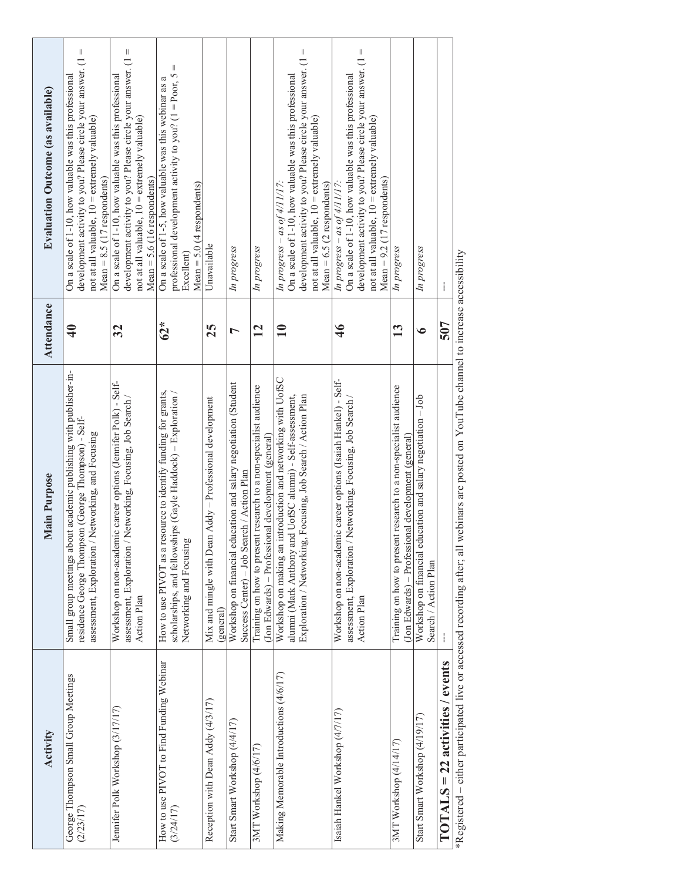| <b>Evaluation Outcome (as available)</b> | development activity to you? Please circle your answer. $(1 =$<br>On a scale of 1-10, how valuable was this professional<br>not at all valuable, 10 = extremely valuable)<br>$Mean = 8.5 (17$ respondents) | development activity to you? Please circle your answer. $(1 =$<br>On a scale of 1-10, how valuable was this professional<br>not at all valuable, 10 = extremely valuable)<br>$Mean = 5.6 (16$ respondents) | $\parallel$<br>professional development activity to you? $(1 =$ Poor, 5<br>On a scale of 1-5, how valuable was this webinar as a<br>Mean = $5.0$ (4 respondents)<br>Excellent) | Unavailable                                                           | In progress                                                                                                   | In progress                                                                                                            | development activity to you? Please circle your answer. (1 =<br>On a scale of 1-10, how valuable was this professional<br>not at all valuable, $10 =$ extremely valuable)<br>In progress – as of $4/11/17$ :<br>Mean = $6.5$ (2 respondents) | development activity to you? Please circle your answer. (1 =<br>On a scale of 1-10, how valuable was this professional<br>not at all valuable, 10 = extremely valuable)<br>Mean = $9.2$ (17 respondents)<br>In progress – as of $4/11/17$ . | In progress                                                                                                            | In progress                                                                          | ł                                                                                                                                        |
|------------------------------------------|------------------------------------------------------------------------------------------------------------------------------------------------------------------------------------------------------------|------------------------------------------------------------------------------------------------------------------------------------------------------------------------------------------------------------|--------------------------------------------------------------------------------------------------------------------------------------------------------------------------------|-----------------------------------------------------------------------|---------------------------------------------------------------------------------------------------------------|------------------------------------------------------------------------------------------------------------------------|----------------------------------------------------------------------------------------------------------------------------------------------------------------------------------------------------------------------------------------------|---------------------------------------------------------------------------------------------------------------------------------------------------------------------------------------------------------------------------------------------|------------------------------------------------------------------------------------------------------------------------|--------------------------------------------------------------------------------------|------------------------------------------------------------------------------------------------------------------------------------------|
| Attendance                               | $\clubsuit$                                                                                                                                                                                                | 32                                                                                                                                                                                                         | $62*$                                                                                                                                                                          | 25                                                                    | $\overline{ }$                                                                                                | $\overline{12}$                                                                                                        | $\mathbf{10}$                                                                                                                                                                                                                                | $\frac{4}{6}$                                                                                                                                                                                                                               | 13                                                                                                                     | $\bullet$                                                                            | 507                                                                                                                                      |
| Main Purpose                             | Small group meetings about academic publishing with publisher-in-<br>residence George Thompson (George Thompson) - Self-<br>assessment, Exploration / Networking, and Focusing                             | Workshop on non-academic career options (Jennifer Polk) - Self-<br>assessment, Exploration / Networking, Focusing, Job Search /<br>Action Plan                                                             | How to use PIVOT as a resource to identify funding for grants,<br>scholarships, and fellowships (Gayle Haddock) – Exploration /<br>Networking and Focusing                     | Mix and mingle with Dean Addy - Professional development<br>(general) | Workshop on financial education and salary negotiation (Student<br>Success Center) - Job Search / Action Plan | Training on how to present research to a non-specialist audience<br>(Jon Edwards) – Professional development (general) | Workshop on making an introduction and networking with UofSC<br>Exploration / Networking, Focusing, Job Search / Action Plan<br>alumni (Mark Anthony and UofSC alumni) - Self-assessment,                                                    | Workshop on non-academic career options (Isaiah Hankel) - Self-<br>assessment, Exploration / Networking, Focusing, Job Search<br>Action Plan                                                                                                | Training on how to present research to a non-specialist audience<br>(Jon Edwards) - Professional development (general) | Workshop on financial education and salary negotiation - Job<br>Search / Action Plan | *Registered – either participated live or accessed recording after; all webinars are posted on YouTube channel to increase accessibility |
| Activity                                 | George Thompson Small Group Meetings<br>(2/23/17)                                                                                                                                                          | Jennifer Polk Workshop (3/17/17)                                                                                                                                                                           | How to use PIVOT to Find Funding Webinar<br>(3/24/17)                                                                                                                          | Reception with Dean Addy (4/3/17)                                     | Start Smart Workshop (4/4/17)                                                                                 | 3MT Workshop (4/6/17)                                                                                                  | Making Memorable Introductions (4/6/17)                                                                                                                                                                                                      | Isaiah Hankel Workshop (4/7/17)                                                                                                                                                                                                             | 3MT Workshop (4/14/17)                                                                                                 | Start Smart Workshop (4/19/17)                                                       | $TOTALS = 22 activities / events$                                                                                                        |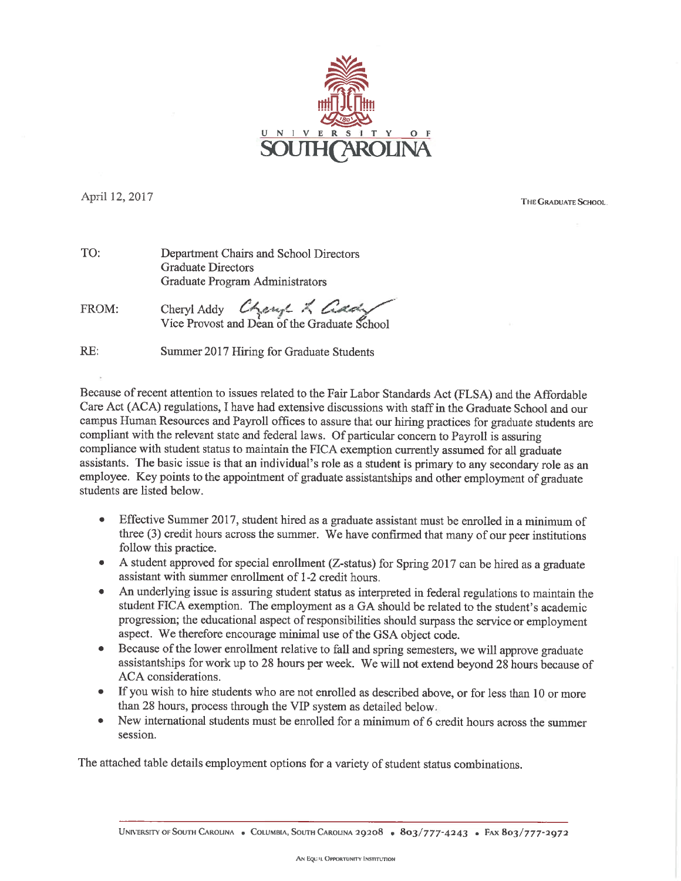

April 12, 2017

THE GRADUATE SCHOOL.

| TO: | Department Chairs and School Directors |
|-----|----------------------------------------|
|     | <b>Graduate Directors</b>              |
|     | Graduate Program Administrators        |

Cheryl Addy Cheryl & Com FROM:

RE: Summer 2017 Hiring for Graduate Students

Because of recent attention to issues related to the Fair Labor Standards Act (FLSA) and the Affordable Care Act (ACA) regulations, I have had extensive discussions with staff in the Graduate School and our campus Human Resources and Payroll offices to assure that our hiring practices for graduate students are compliant with the relevant state and federal laws. Of particular concern to Payroll is assuring compliance with student status to maintain the FICA exemption currently assumed for all graduate assistants. The basic issue is that an individual's role as a student is primary to any secondary role as an employee. Key points to the appointment of graduate assistantships and other employment of graduate students are listed below.

- Effective Summer 2017, student hired as a graduate assistant must be enrolled in a minimum of three (3) credit hours across the summer. We have confirmed that many of our peer institutions follow this practice.
- A student approved for special enrollment (Z-status) for Spring 2017 can be hired as a graduate  $\bullet$ assistant with summer enrollment of 1-2 credit hours.
- An underlying issue is assuring student status as interpreted in federal regulations to maintain the  $\bullet$ student FICA exemption. The employment as a GA should be related to the student's academic progression; the educational aspect of responsibilities should surpass the service or employment aspect. We therefore encourage minimal use of the GSA object code.
- Because of the lower enrollment relative to fall and spring semesters, we will approve graduate assistantships for work up to 28 hours per week. We will not extend beyond 28 hours because of ACA considerations.
- If you wish to hire students who are not enrolled as described above, or for less than 10 or more  $\bullet$ than 28 hours, process through the VIP system as detailed below.
- New international students must be enrolled for a minimum of 6 credit hours across the summer  $\bullet$ session.

The attached table details employment options for a variety of student status combinations.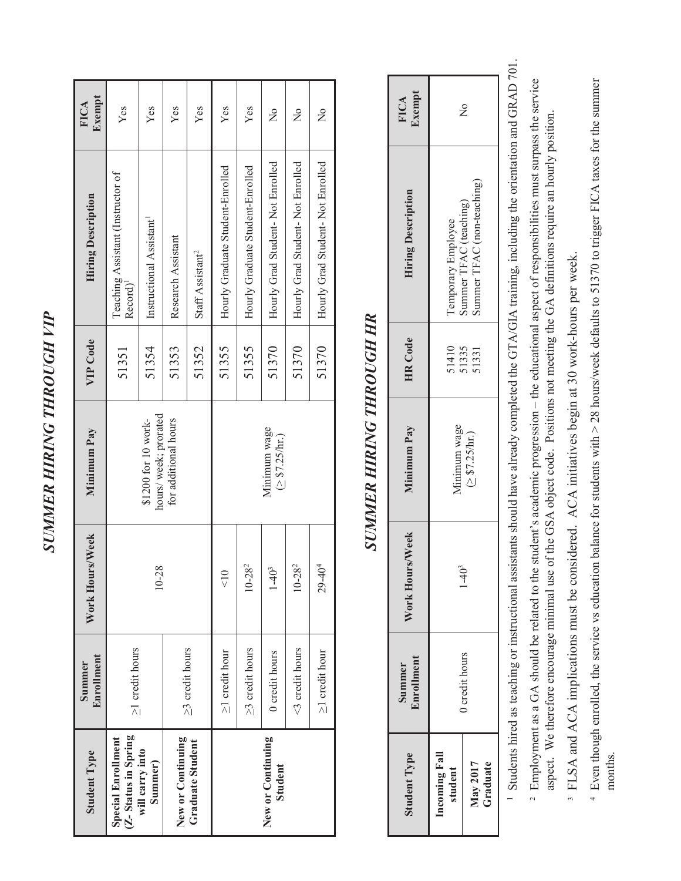| ĺ                 |  |
|-------------------|--|
| $M = 75$          |  |
| $\sim$ and $\sim$ |  |
| 计算机 医血管           |  |
|                   |  |
| É                 |  |
| יש<br>איש<br>アトルく |  |

| <b>Student Type</b>                       | Enrollment<br>Summer  | rs/Week<br>Work Hour | Minimum Pay                                 | VIP Code | <b>Hiring Description</b>                                 | Exempt<br><b>FICA</b> |
|-------------------------------------------|-----------------------|----------------------|---------------------------------------------|----------|-----------------------------------------------------------|-----------------------|
| (Z-Status in Spring<br>Special Enrollment | $\geq$ 1 credit hours |                      |                                             | 51351    | Teaching Assistant (Instructor of<br>Record) <sup>1</sup> | Yes                   |
| will carry into<br>Summer)                |                       | 10-28                | hours/week; prorated<br>\$1200 for 10 work- | 51354    | Instructional Assistant <sup>1</sup>                      | Yes                   |
| New or Continuing                         |                       |                      | for additional hours                        | 51353    | Research Assistant                                        | Yes                   |
| Graduate Student                          | $\geq$ 3 credit hours |                      |                                             | 51352    | Staff Assistant <sup>2</sup>                              | Yes                   |
|                                           | $\geq$ 1 credit hour  | $\frac{1}{2}$        |                                             | 51355    | Hourly Graduate Student-Enrolled                          | Yes                   |
|                                           | $\geq$ 3 credit hours | $10 - 28^{2}$        |                                             | 51355    | Hourly Graduate Student-Enrolled                          | Yes                   |
| New or Continuing<br>Student              | 0 credit hours        | $\frac{1}{4}$        | Minimum wage<br>(2 \$7.25/hr.)              | 51370    | Hourly Grad Student-Not Enrolled                          | $\frac{1}{2}$         |
|                                           | ⊲ credit hours        | $10 - 28^2$          |                                             | 51370    | Hourly Grad Student-Not Enrolled                          | $\frac{1}{2}$         |
|                                           | $\geq$ 1 credit hour  | $29 - 40^{4}$        |                                             | 51370    | Hourly Grad Student-Not Enrolled                          | $\frac{1}{2}$         |

# **SUMMER HIRING THROUGH HR** *SUMMER HIRING THROUGH HR*

| <b>Student Type</b>      | <b>Enrollment</b><br>Summer | $\mathbb{W}\text{eek}$<br>Nork Hours | Minimum Pay    | <b>HR</b> Code          | <b>Hiring Description</b>                    | FICA<br>Exempt      |
|--------------------------|-----------------------------|--------------------------------------|----------------|-------------------------|----------------------------------------------|---------------------|
| Incoming Fall<br>student |                             |                                      | Ainimum wage   |                         | Temporary Employee<br>Summer TFAC (teaching) |                     |
| May 2017<br>Graduate     | Ocredit hours               | $-403$                               | (2 \$7.25/hr.) | 51410<br>51335<br>51331 | Summer TFAC (non-teaching)                   | $\tilde{\varkappa}$ |

<sup>1</sup> Students hired as teaching or instructional assistants should have already completed the GTA/GIA training, including the orientation and GRAD 701. Students hired as teaching or instructional assistants should have already completed the GTA/GIA training, including the orientation and GRAD 701.

- $2$  Employment as a GA should be related to the student's academic progression the educational aspect of responsibilities must surpass the service <sup>2</sup> Employment as a GA should be related to the student's academic progression – the educational aspect of responsibilities must surpass the service aspect. We therefore encourage minimal use of the GSA object code. Positions not meeting the GA definitions require an hourly position. aspect. We therefore encourage minimal use of the GSA object code. Positions not meeting the GA definitions require an hourly position.
- <sup>3</sup> FLSA and ACA implications must be considered. ACA initiatives begin at 30 work-hours per week. FLSA and ACA implications must be considered. ACA initiatives begin at 30 work-hours per week.
- $4\,$  Even though enrolled, the service vs education balance for students with > 28 hours/week defaults to 51370 to trigger FICA taxes for the summer Even though enrolled, the service vs education balance for students with > 28 hours/week defaults to 51370 to trigger FICA taxes for the summer months.